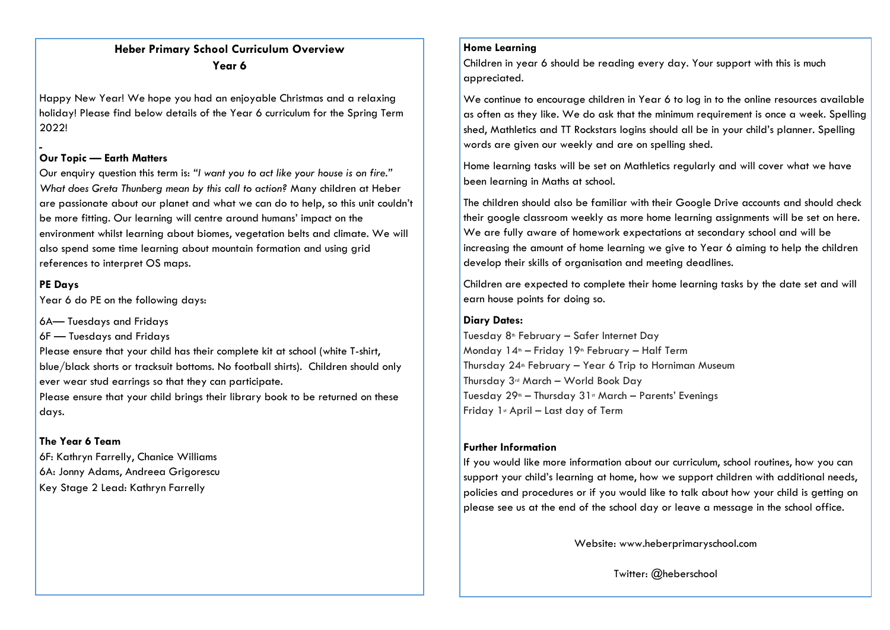# **Heber Primary School Curriculum Overview Year 6**

Happy New Year! We hope you had an enjoyable Christmas and a relaxing holiday! Please find below details of the Year 6 curriculum for the Spring Term 2022!

#### **Our Topic — Earth Matters**

Our enquiry question this term is: *"I want you to act like your house is on fire." What does Greta Thunberg mean by this call to action?* Many children at Heber are passionate about our planet and what we can do to help, so this unit couldn't be more fitting. Our learning will centre around humans' impact on the environment whilst learning about biomes, vegetation belts and climate. We will also spend some time learning about mountain formation and using grid references to interpret OS maps.

#### **PE Days**

Year 6 do PE on the following days:

6A— Tuesdays and Fridays

6F — Tuesdays and Fridays

Please ensure that your child has their complete kit at school (white T-shirt, blue/black shorts or tracksuit bottoms. No football shirts). Children should only ever wear stud earrings so that they can participate.

Please ensure that your child brings their library book to be returned on these days.

#### **The Year 6 Team**

6F: Kathryn Farrelly, Chanice Williams 6A: Jonny Adams, Andreea Grigorescu Key Stage 2 Lead: Kathryn Farrelly

## **Home Learning**

Children in year 6 should be reading every day. Your support with this is much appreciated.

We continue to encourage children in Year 6 to log in to the online resources available as often as they like. We do ask that the minimum requirement is once a week. Spelling shed, Mathletics and TT Rockstars logins should all be in your child's planner. Spelling words are given our weekly and are on spelling shed.

Home learning tasks will be set on Mathletics regularly and will cover what we have been learning in Maths at school.

The children should also be familiar with their Google Drive accounts and should check their google classroom weekly as more home learning assignments will be set on here. We are fully aware of homework expectations at secondary school and will be increasing the amount of home learning we give to Year 6 aiming to help the children develop their skills of organisation and meeting deadlines.

Children are expected to complete their home learning tasks by the date set and will earn house points for doing so.

#### **Diary Dates:**

Tuesday 8<sup>th</sup> February - Safer Internet Day Monday  $14<sup>th</sup> - Friday 19<sup>th</sup> February - Half Term$ Thursday  $24$ <sup>th</sup> February – Year 6 Trip to Horniman Museum Thursday 3rd March – World Book Day Tuesday  $29<sup>th</sup>$  – Thursday  $31<sup>st</sup>$  March – Parents' Evenings Friday  $1$ <sup>s</sup> April – Last day of Term

#### **Further Information**

If you would like more information about our curriculum, school routines, how you can support your child's learning at home, how we support children with additional needs, policies and procedures or if you would like to talk about how your child is getting on please see us at the end of the school day or leave a message in the school office.

Website: www.heberprimaryschool.com

Twitter: @heberschool